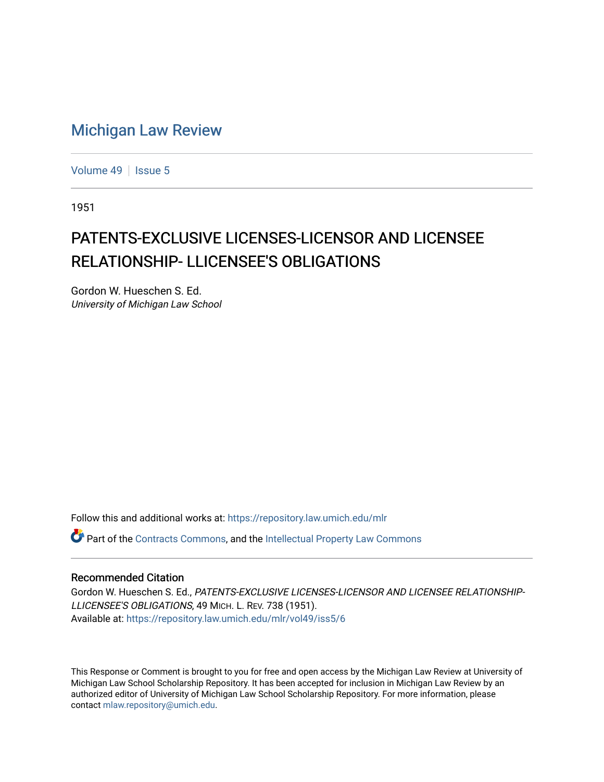## [Michigan Law Review](https://repository.law.umich.edu/mlr)

[Volume 49](https://repository.law.umich.edu/mlr/vol49) | [Issue 5](https://repository.law.umich.edu/mlr/vol49/iss5)

1951

# PATENTS-EXCLUSIVE LICENSES-LICENSOR AND LICENSEE RELATIONSHIP- LLICENSEE'S OBLIGATIONS

Gordon W. Hueschen S. Ed. University of Michigan Law School

Follow this and additional works at: [https://repository.law.umich.edu/mlr](https://repository.law.umich.edu/mlr?utm_source=repository.law.umich.edu%2Fmlr%2Fvol49%2Fiss5%2F6&utm_medium=PDF&utm_campaign=PDFCoverPages) 

Part of the [Contracts Commons](http://network.bepress.com/hgg/discipline/591?utm_source=repository.law.umich.edu%2Fmlr%2Fvol49%2Fiss5%2F6&utm_medium=PDF&utm_campaign=PDFCoverPages), and the [Intellectual Property Law Commons](http://network.bepress.com/hgg/discipline/896?utm_source=repository.law.umich.edu%2Fmlr%2Fvol49%2Fiss5%2F6&utm_medium=PDF&utm_campaign=PDFCoverPages) 

## Recommended Citation

Gordon W. Hueschen S. Ed., PATENTS-EXCLUSIVE LICENSES-LICENSOR AND LICENSEE RELATIONSHIP-LLICENSEE'S OBLIGATIONS, 49 MICH. L. REV. 738 (1951). Available at: [https://repository.law.umich.edu/mlr/vol49/iss5/6](https://repository.law.umich.edu/mlr/vol49/iss5/6?utm_source=repository.law.umich.edu%2Fmlr%2Fvol49%2Fiss5%2F6&utm_medium=PDF&utm_campaign=PDFCoverPages)

This Response or Comment is brought to you for free and open access by the Michigan Law Review at University of Michigan Law School Scholarship Repository. It has been accepted for inclusion in Michigan Law Review by an authorized editor of University of Michigan Law School Scholarship Repository. For more information, please contact [mlaw.repository@umich.edu](mailto:mlaw.repository@umich.edu).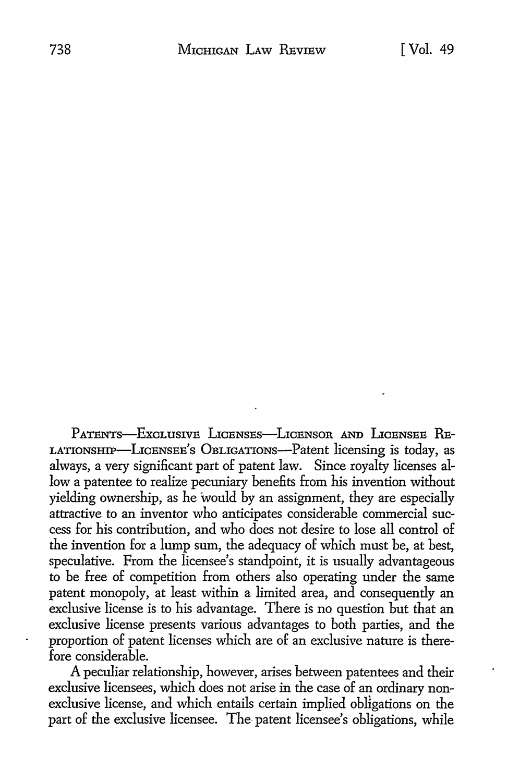PATENTS-EXCLUSIVE LICENSES-LICENSOR AND LICENSEE RE-LATIONSHIP-LICENSEE'S OBLIGATIONS-Patent licensing is today, as always, a very significant part of patent law. Since royalty licenses allow a patentee to realize pecuniary benefits from his invention without yielding ownership, as he would by an assignment, they are especially attractive to an inventor who anticipates considerable commercial success for his contribution, and who does not desire to lose all control of the invention for a lump sum, the adequacy of which must be, at best, speculative. From the licensee's standpoint, it is usually advantageous to be free of competition from others also operating under the same patent monopoly, at least within a limited area, and consequently an exclusive license is to his advantage. There is no question but that an exclusive license presents various advantages to both parties, and the proportion of patent licenses which are of an exclusive nature is therefore considerable.

A peculiar relationship, however, arises between patentees and their exclusive licensees, which does not arise in the case of an ordinary nonexclusive license, and which entails certain implied obligations on the part of the exclusive licensee. The patent licensee's obligations, while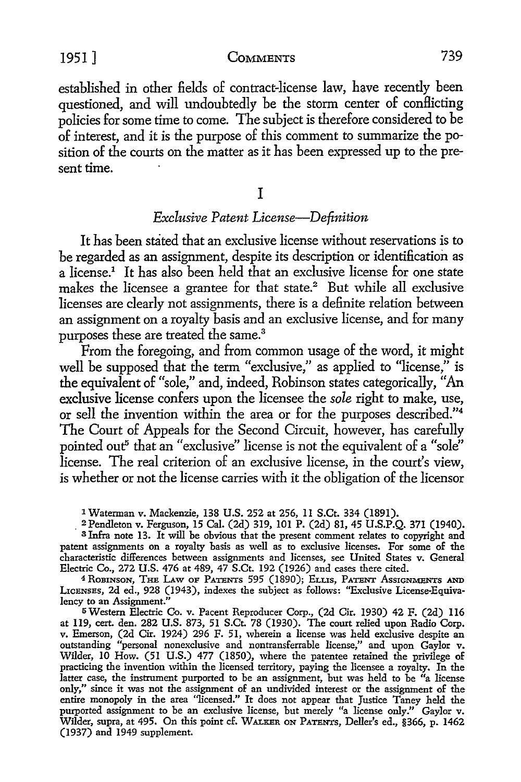established in other fields of contract-license law, have recently been questioned, and will undoubtedly be the storm center of conflicting policies for some time to come. The subject is therefore considered to be of interest, and it is the purpose of this comment to summarize the position of the courts on the matter as it has been expressed up to the present time.

I

## *Exclusive Patent License—Definition*

It has been stated that an exclusive license without reservations is to be regarded as an assignment, despite its description or identification as a license.<sup>1</sup> It has also been held that an exclusive license for one state makes the licensee a grantee for that state.<sup>2</sup> But while all exclusive licenses are clearly not assignments, there is a definite relation between an assignment on a royalty basis and an exclusive license, and for many purposes these are treated the same.<sup>3</sup>

From the foregoing, and from common usage of the word, it might well be supposed that the term "exclusive," as applied to "license," is the equivalent of "sole," and, indeed, Robinson states categorically, "An exclusive license confers upon the licensee the *sole* right to make, use, or sell the invention within the area or for the purposes described."<sup>4</sup> The Court of Appeals for the Second Circuit, however, has carefully pointed out<sup>5</sup> that an "exclusive" license is not the equivalent of a "sole" license. The real criterion of an exclusive license, in the court's view, is whether or not the license carries with it the obligation of the licensor

<sup>1</sup> Waterman v. Mackenzie, 138 U.S. 252 at 256, 11 S.Ct. 334 (1891).<br><sup>2</sup> Pendleton v. Ferguson, 15 Cal. (2d) 319, 101 P. (2d) 81, 45 U.S.P.Q. 371 (1940). 3 Infra note 13. It will be obvious that the present comment relates to copyright and patent assignments on a royalty basis as well as to exclusive licenses. For some of the characteristic differences between assignments and licenses, see United States v. General Electric Co., 272 U.S. 476 at 489, 47 S.Ct. 192 (1926) and cases there cited.

4 RoBrNsoN, THE LAw OF PATENTS 595 (1890); ELLIS, PATENT AssIGNMENTS AND LrcENSEs, 2d ed., 928 (1943), indexes the subject as follows: "Exclusive License-Equivalency to an Assignment."

<sup>5</sup>Western Electric Co. v. Pacent Reproducer Corp., (2d Cir. 1930) 42 F. (2d) 116 at 119, cert. den. 282 U.S. 873, 51 S.Ct. 78 (1930). The court relied upon Radio Corp. v. Emerson, (2d Cir. 1924) 296 F. 51, wherein a license was held exclusive despite an outstanding "personal nonexclusive and nontransferrable license," and upon Gaylor v. Wilder, 10 How. (51 U.S.) 477 (1850), where the patentee retained the privilege of practicing the invention within the licensed territory, paying the licensee a royalty. In the latter case, the instrument purported to be an assignment, but was held to be "a license only," since it was not the assignment of an undivided interest or the assignment of the entire monopoly in the area "licensed." It does not appear that Justice Taney held the purported assignment to be an exclusive license, but merely "a license only." Gaylor v. Wilder, supra, at 495. On this point cf. WALXER ON PATENTS, Deller's ed., §366, p. 1462 (1937) and 1949 supplement.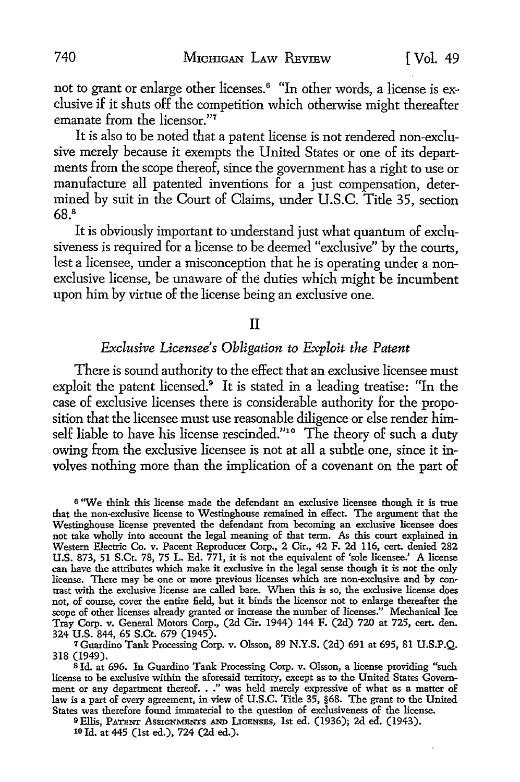not to grant or enlarge other licenses.<sup>6</sup> "In other words, a license is exclusive if it shuts off the competition which otherwise might thereafter emanate from the licensor."<sup>7</sup>

It is also to be noted that a patent license is not rendered non-exclusive merely because it exempts the United States or one of its departments from the scope thereof, since the government has a right to use or manufacture all patented inventions for a just compensation, determined by suit in the Court of Claims, under U.S.C. Title 35, section 68.<sup>8</sup>

It is obviously important to understand just what quantum of exclusiveness is required for a license to be deemed "exclusive" by the courts, lest a licensee, under a misconception that he is operating under a nonexclusive license, be unaware of the duties which might be incumbent upon him by virtue of the license being an exclusive one.

### II

## *Exclusive Licensee's Obligation to Exploit the Patent*

There is sound authority to the effect that an exclusive licensee must exploit the patent licensed.<sup>9</sup> It is stated in a leading treatise: "In the case of exclusive licenses there is considerable authority for the proposition that the licensee must use reasonable diligence or else render himself liable to have his license rescinded."<sup>10</sup> The theory of such a duty owing from the exclusive licensee is not at all a subtle one, since it involves nothing more than the implication of a covenant on the part of

<sup>6</sup>''We think this license made the defendant an exclusive licensee though it is true that the non-exclusive license to Westinghouse remained in effect. The argument that the Westinghouse license prevented the defendant from becoming an exclusive licensee does not take wholly into account the legal meaning of that term. As this court explained in Western Electric Co. v. Pacent Reproducer Corp., 2 Cir., 42 F. 2d 116, cert. denied 282 **U.S.** 873, 51 S.Ct. 78, 75 L. Ed. 771, it is not the equivalent of 'sole licensee.' A license can have the attributes which make it exclusive in the legal sense though it is not the only license. There may be one or more previous licenses which are non-exclusive and by contrast with the exclusive license are called bare. When this is so, the exclusive license does not, of course, cover the entire field, but it binds the licensor not to enlarge thereafter the scope of other licenses already granted or increase the number of licenses.'' Mechanical Ice Tray Corp. v. General Motors Corp., (2d Cir. 1944) 144 F. (2d) 720 at 725, cert. den. 324 U.S. 844, 65 S.Ct. 679 (1945).

<sup>7</sup>Guardino Tank Processing Corp. v. Olsson, 89 N.Y.S. (2d) 691 at 695, 81 U.S.P:Q. 318 (1949).

s Id. at 696. In Guardino Tank Processing Corp. v. Olsson, a license providing "such license to be exclusive within the aforesaid territory, except as to the United States Government or any department thereof. . ." was held merely expressive of what as a matter of law is a part of every agreement, in view of U.S.C. Title 35, §68. The grant to the United States was therefore found immaterial to the question of exclusiveness of the license.

9 Ellis, PATENT AssrGNMENTS AND UCENSBS, 1st ed. (1936); 2d ed. (1943). 10 Id. at 445 (1st ed.), 724 (2d ed.).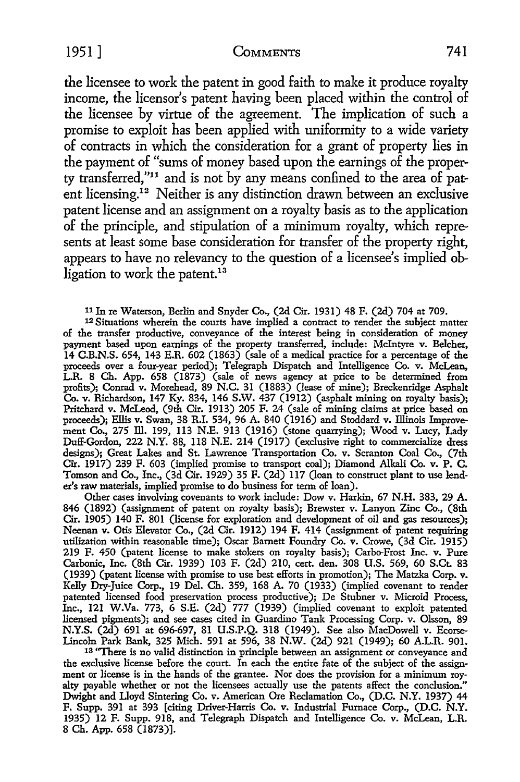1951 ] **CoMMENTS** 741

the licensee to work the patent in good faith to make it produce royalty income, the licensor's patent having been placed within the control of the licensee by virtue of the agreement. The implication of such a promise to exploit has been applied with uniformity to a wide variety of contracts in which the consideration for a grant of property lies in the payment of "sums of money based upon the earnings of the property transferred,"11 and is not by any means confined to the area of patent licensing.12 Neither is any distinction drawn between an exclusive patent license and an assignment on a royalty basis as to the application of the principle, and stipulation of a minimum royalty, which represents at least some base consideration for transfer of the property right, appears to have no relevancy to the question of a licensee's implied obligation to work the patent.<sup>13</sup>

12 Situations wherein the courts have implied a contract to render the subject matter of the transfer productive, conveyance of the interest being in consideration of money payment based upon earnings of the property transferred, include: McIntyre v. Belcher, 14 **C.B.N.S.** 654, 143 E.R. 602 (1863) (sale of a medical practice for a percentage of the proceeds over a four-year period); Telegraph Dispatch and Intelligence Co. v. McLean, L.R. 8 Ch. App. 658 (1873) (sale of news agency at price to be determined from profits); Conrad v. Morehead, 89 N.C. 31 (1883) (lease of mine); Breckenridge Asphalt Co. v. Richardson, 147 Ky. 834, 146 S.W. 437 (1912) (asphalt mining on royalty basis); Pritchard v. McLeod, (9th Cir. 1913) 205 F. 24 (sale of mining claims at price based on proceeds); Ellis v. Swan, 38 R.I. 534, 96 A. 840 (1916) and Stoddard v. Illinois Improvement Co., 275 Ill. 199, 113 N.E. 913 (1916) (stone quarrying); Wood v. Lucy, Lady Duff-Gordon, 222 N.Y. 88, 118 N.E. 214 (1917) (exclusive right to commercialize dress designs); Great Lakes and St. Lawrence Transportation Co. v. Scranton Coal Co., (7th Cir. 1917) 239 F. 603 (implied promise to transport coal); Diamond Alkali Co. v. P. C. Tomson and Co., Inc., (3d Cir. 1929) 35 F. (2d) 117 (loan to construct plant to use lender's raw materials, implied promise to do business for term of loan).

Other cases involving covenants to work include: Dow v. Harkin, 67 N.H. 383, 29 A. 846 (1892) (assignment of patent on royalty basis); Brewster v. Lanyon Zinc Co., (8th Cir. 1905) 140 F. 801 (license for exploration and development of oil and gas resources); Neenan v. Otis Elevator Co., (2d Cir. 1912) 194 F. 414 (assignment of patent requiring utilization within reasonable time); Oscar Barnett Foundry Co. v. Crowe, (3d Cir. 1915) 219 F. 450 (patent license to make stokers on royalty basis); Carbo-Frost Inc. v. Pure Carbonic, Inc. (8th Cir. 1939) 103 F. (2d) 210, cert. den. 308 U.S. 569, 60 S.Ct. 83 (1939) (patent license with promise to use best efforts in promotion); The Matzka Corp. v. Kelly Dry-Juice Corp., 19 Del. Ch. 359, 168 A. 70 (1933) (implied covenant to render patented licensed food preservation process productive); De Stubner v. Microid Process, Inc., 121 W.Va. 773, 6 S.E. (2d) 777 (1939) (implied covenant to exploit patented licensed pigments); and see cases cited in Guardino Tank Processing Corp. v. Olsson, 89 **N.Y.S.** (2d) 691 at 696-697, 81 U.S.P.Q. 318 (1949). See also MacDowell v. Ecorse-Lincoln Park Bank, 325 Mich. 591 at 596, 38 N.W. (2d) 921 (1949); 60 A.L.R. 901.

13 'There is no valid distinction in principle between an assignment or conveyance and the exclusive license before the court. In each the entire fate of the subject of the assignment or license is in the hands of the grantee. Nor does the provision for a minimum royalty payable whether or not the licensees actually use the patents affect the conclusion." Dwight and Lloyd Sintering Co. v. American Ore Reclamation Co., (D.C. N.Y. 1937) 44 F. Supp. 391 at 393 [citing Driver-Harris Co. v. Industrial Furnace Corp., (D.C. N.Y. 1935) 12 F. Supp. 918, and Telegraph Dispatch and Intelligence Co. v. McLean, L.R. 8 Ch. App. 658 (1873)].

<sup>11</sup> In re Waterson, Berlin and Snyder Co., (2d Cir. 1931) 48 F. (2d) 704 at 709.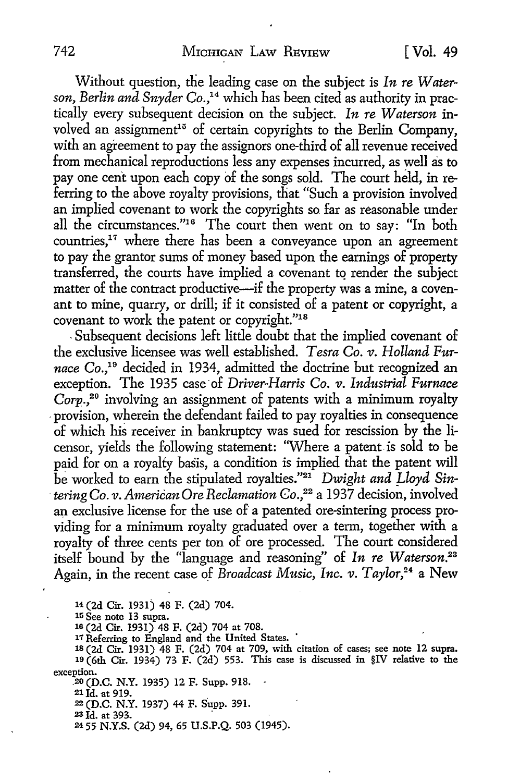Without question, the leading case on the subject is *In re Waterson, Berlin and Snyder Co.,* 14 which has been cited as authority in practically every subsequent decision on the subject. *In re Waterson* involved an assignment<sup>15</sup> of certain copyrights to the Berlin Company, with an agreement to pay the assignors one-third of all revenue received from mechanical reproductions less any expenses incurred, as well as to pay one cent upon each copy of the songs sold. The court held, in referring to the above royalty provisions, that "Such a provision involved an implied covenant to work the copyrights so far as reasonable under all the circumstances."16 The court then went on to say: "In both countries,<sup>17</sup> where there has been a conveyance upon an agreement to pay the grantor sums of money based upon the earnings of property transferred, the courts have implied a covenant to render the subject matter of the contract productive--if the property was a mine, a covenant to mine, quarry, or drill; if it consisted of a patent or copyright, a covenant to work the patent or copyright."18

. Subsequent decisions left little doubt that the implied covenant of the exclusive licensee was well established. *T esra Co. v. Holland Fur*nace Co.,<sup>19</sup> decided in 1934, admitted the doctrine but recognized an exception. The 1935 case·of *Driver-Harris Co. v. Industrial Furnace Corp.,2°* involving an assignment of patents with a minimum royalty , provision, wherein the defendant failed to pay royalties in consequence of which his receiver in bankruptcy was sued for rescission by the licensor, yields the following statement: "Where a patent is sold to be paid for on a royalty basis, a condition is implied that the patent will be worked to earn the stipulated royalties."<sup>21</sup> *Dwight and Lloyd Sin*tering Co. v. American Ore Reclamation Co.,<sup>22</sup> a 1937 decision, involved an exclusive license for the use of a patented ore-sintering process providing for a minimum royalty graduated over a term, together with a royalty of three cents per ton of ore processed. The court considered itself bound by the "language and reasoning" of *In re W aterson.23*  Again, in the recent case of *Broadcast Music*, Inc. v. Taylor,<sup>24</sup> a New

14 (2d Cir. 1931) 48 F. (2d) 704.

15 See note 13 supra.

1s (2d Cir. 1931) 48 F. (2d) 704 at 708.

17 Referring to England and the United States.

18 (2d Cir. 1931) 48 F. (2d) 704 at 709, with citation of cases; see note 12 supra. 19 (6th Cir. 1934) 73 F. (2d) 553. This case is discussed in §IV relative to the exception.<br>
20 (D.C. N.Y. 1935) 12 F. Supp. 918.

21 Id. at 919.

<sup>22</sup>(D.C. N.Y. 1937) 44 F. Supp. 391.

23 Id. at 393.

24 55 N.Y.S. (2d) 94, 65 U.S.P.Q. 503 (1945).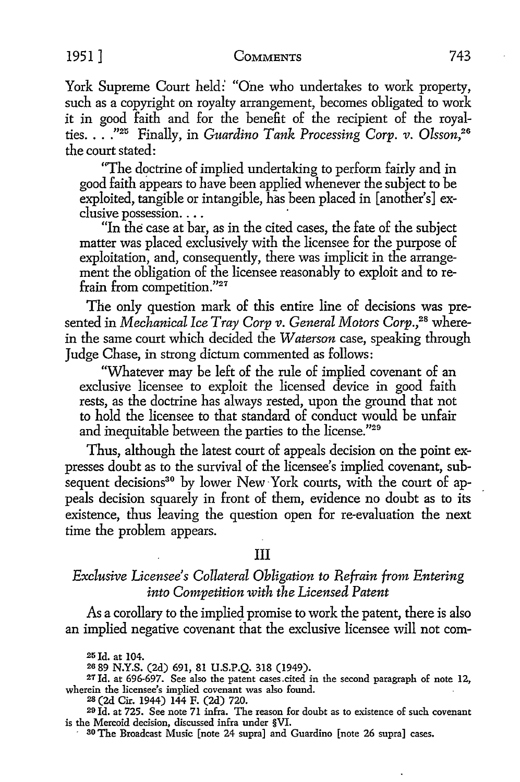York Supreme Court held:' "One who undertakes to work property, such as a copyright on royalty arrangement, becomes obligated to work it in good faith and for the benefit of the recipient of the royalties .... "25 Finally, in *Guardino Tank Processing Corp. v. Olsson,26*  the court stated:

"The doctrine of implied undertaking to perform fairly and in good faith appears *to* have been applied whenever the subject to be exploited, tangible or intangible, has been placed in [another's] exclusive possession. . . . ·

"In the case at bar, as in the cited cases, the fate of the subject matter was placed exclusively with the licensee for the purpose of exploitation, and, consequently, there was implicit in the arrangement the obligation of the licensee reasonably to exploit and to refrain from competition."27

The only question mark of this entire line of decisions was presented in *Mechanical Ice Tray Corp v. General Motors Corp.*,<sup>28</sup> wherein the same court which decided the *Waterson* case, speaking through Judge Chase, in strong dictum commented as follows:

"Whatever may be left of the rule of implied covenant of an exclusive licensee to exploit the licensed device in good faith rests, as the doctrine has always rested, upon the ground that not to hold the licensee to that standard of conduct would be unfair and inequitable between the parties to the license."<sup>29</sup>

Thus, although the latest court of appeals decision on the point expresses doubt as to the survival of the licensee's implied covenant, subsequent decisions<sup>30</sup> by lower New York courts, with the court of appeals decision squarely in front of them, evidence no doubt as to its existence, thus leaving the question open for re-evaluation the next time the problem appears.

### III

## *Exclusive Licensee's Collateral Obligation to Refrain from Entering into Competition with the Licensed Patent*

As a corollary *to* the implieg promise to work the patent, there is also an implied negative covenant that the exclusive licensee will not com-

2s Id. at 104.

20 89 **N.Y.S.** (2d) 691, 81 U.S.P.Q. 318 (1949).

27Jd. at 696-697. See also the patent cases.cited in the second paragraph of note 12, wherein the licensee's implied covenant was also found.

2s (2d Cir. 1944) 144 F. (2d) 720.

29 Jd. at 725. See note 71 infra. The reason for doubt as to existence of such covenant is the Mercoid decision, discussed infra under §VI.

· 30 The Broadcast Music [note 24 supra] and Guardino [note 26 supra] cases.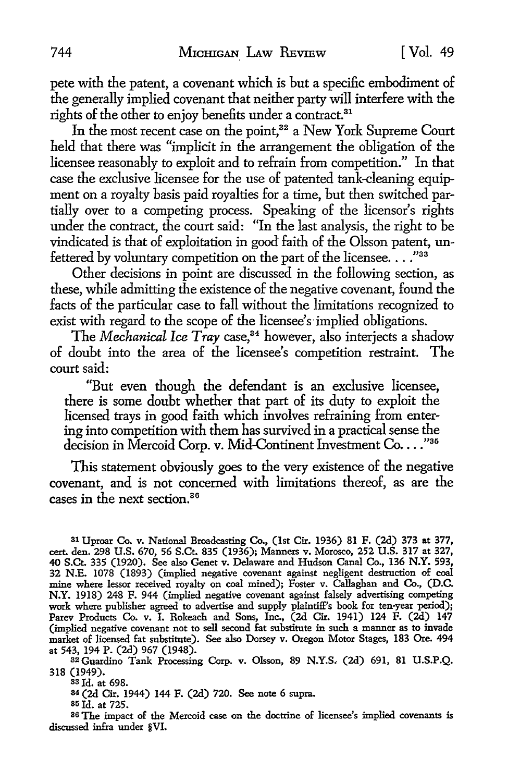pete with the patent, a covenant which is but a specific embodiment of the generally implied covenant that neither party will interfere with the rights of the other to enjoy benefits under a contract.<sup>31</sup>

In the most recent case on the point,<sup>32</sup> a New York Supreme Court held that there was "implicit in the arrangement the obligation of the licensee reasonably to exploit and to refrain from competition." In that case the exclusive licensee for the use of patented tank-cleaning equipment on a royalty basis paid royalties for a time, but then switched partially over to a competing process. Speaking of the licensor's rights under the contract, the court said: "In the last analysis, the right to be vindicated is that of exploitation in good faith of the Olsson patent, unfettered by voluntary competition on the part of the licensee...." $^{33}$ 

Other decisions in point are discussed in the following section, as these, while admitting the existence of the negative covenant, found the facts of the particular case to fall without the limitations recognized to exist with regard to the scope of the licensee's·implied obligations.

The *Mechanical Ice* Tray case,<sup>34</sup> however, also interjects a shadow of doubt into the area of the licensee's competition restraint. The court said:

"But even though the defendant is an exclusive licensee, there is some doubt whether that part of its duty to exploit the licensed trays in good faith which involves refraining from entering into competition with them has survived in a practical sense the decision in Mercoid Corp. v. Mid-Continent Investment Co. . . . "35

This statement obviously goes to the very existence of the negative covenant, and is not concerned with limitations thereof, as are the cases in the next section. 36

31 Uproar Co. v. National Broadcasting Co., (1st Cir. 1936) 81 F. (2d) 373 **at** 377, cert. den. 298 U.S. 670, 56 S.Ct. 835 (1936); Manners v. Morosco, 252 U.S. 317 at 327, 40 S.Ct. 335 (1920). See also Genet v. Delaware and Hudson Canal Co., 136 **N.Y.** 593, 32 N.E. 1078 (1893) (implied negative covenant against negligent destruction of coal mine where lessor received royalty on coal mined); Foster v. Callaghan and Co., (D.C. **N.Y.** 1918) 248 F. 944 (implied negative covenant against falsely advertising competing work where publisher agreed to advertise and supply plaintiff's book for ten-year period); Parev Products Co. v. I. Rokeach and Sons, Inc., (2d Cir. 1941) 124 F. (2d) 147 (implied negative covenant not to sell second fat substitute in such a manner as to invade market of licensed fat substitute). See also Dorsey v. Oregon Motor Stages, 183 Ore. 494 at 543, 194 P. (2d) 967 (1948).

s2Guardino Tank Processing Corp. v. Olsson, 89 N.Y.S, (2d) 691, 81 U.S.P.Q. 318 (1949).

<sup>83</sup>Id. at 698.

<sup>34</sup>(2d Cir. 1944) 144 F. (2d) 720. See note 6 supra.

85 Id. at 725.

36 The impact of the Mercoid case on the doctrine of licensee's implied covenants is discussed infra under §VI.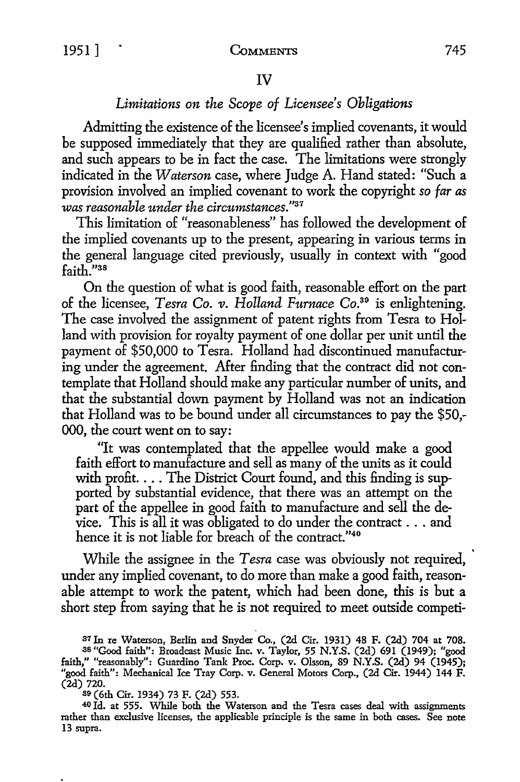## IV

## *Limitations on the Scope of Licensee's Obligations*

Admitting the existence of the licensee's implied covenants, it would be supposed immediately that they are qualified rather than absolute, and such appears to be in fact the case. The limitations were strongly indicated in the *Waterson* case, where Judge A. Hand stated: "Such a provision involved an implied covenant to work the copyright *so far as was reasonable under the circumstances."*<sup>37</sup>

This limitation of "reasonableness" has followed the development of the implied covenants up to the present, appearing in various terms in the general language cited previously, usually in context with "good **faith."<sup>38</sup>**

On the question of what is good faith, reasonable effort on the part of the licensee, *Tesra Co. v. Holland Furnace Co.*<sup>39</sup> is enlightening. The case involved the assignment of patent rights from Tesra to Holland with provision for royalty payment of one dollar per unit until the payment of \$50,000 to Tesra. Holland had discontinued manufacturing under the agreement. After finding that the contract did not contemplate that Holland should make any particular number of units, and that the substantial down payment by Holland was not an indication that Holland was to be bound under all circumstances to pay the \$50,- 000, the court went on to say:

"It was contemplated that the appellee would make a good faith effort to manufacture and sell as many of the units as it could with profit.... The District Court found, and this finding is supported by substantial evidence, that there was an attempt on the part of the appellee in good faith to manufacture and sell the device. This is all it was obligated to do under the contract . . . and hence it is not liable for breach of the contract."40

While the assignee in the Tesra case was obviously not required, under any implied covenant, to do more than make a good faith, reasonable attempt to work the patent, which had been done, this is but a short step from saying that he is not required to meet outside competi-

37 Jn re Waterson, Berlin and Snyder Co., (2d Cir. 1931) 48 F. (2d) 704 at 708. 38 "Good faith": Broadcast Music Inc. v. Taylor, 55 N.Y.S. (2d) 691 (1949); "good faith," "reasonably": Guardino Tank Proc. Corp. v. Olsson, 89 N.Y.S. (2d) 94 (1945); "good faith": Mechanical Ice Tray Corp. v. General Motors Corp., (2d Cir. 1944) 144 F. (2d) 720.

s9 (6th Cir. 1934) 73 F. (2d) 553.

40 Id. at 555. While both the Waterson and the Tesra cases deal with assignments rather than exclusive licenses, the applicable principle is the same in both cases. See note 13 supra.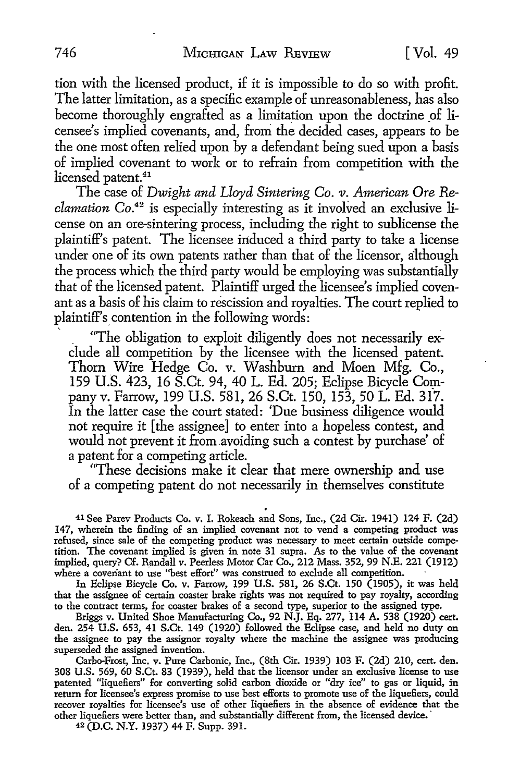tion with the licensed product, if it is impossible to do so with profit. The latter limitation, as a specific example of unreasonableness, has also become thoroughly engrafted as a limitation upon the doctrine of licensee's implied covenants, and, froni the decided cases, appears to be the one most often relied upon by a defendant being sued upon a basis of implied covenant to work or to refrain from competition with the licensed patent.<sup>41</sup>

The case of *Dwight and Lloyd Sintering Co. v. American Ore Reclamation* Co.42 is especially interesting as it involved an exclusive license on an ore-sintering process, including the right to sublicense the plaintiff's patent. The licensee induced a third party to take a license under one of its own patents rather than that of the licensor, although the process which the third party would be employing was substantially that of the licensed patent. Plaintiff urged the licensee's implied covenant as a basis of his claim to rescission and royalties. The court replied to plaintiff's contention in the following words:

"The obligation to exploit diligently does not necessarily exclude all competition by the licensee with the licensed patent. Thorn Wire Hedge Co. v. Washburn and Moen Mfg. Co., 159 U.S. 423, 16 S.Ct. 94, 40 L. Ed. 205; Eclipse Bicycle Company v. Farrow, 199 U.S. 581, 26 S.Ct. 150, 153, 50 L. Ed. 317. In the latter case the court stated: 'Due business diligence would not require it [the assignee] to enter into a hopeless contest, and would not prevent it from.avoiding such a contest by purchase' of a patent for a competing article.

"These decisions make it clear that mere ownership and use of a competing patent do not necessarily in themselves constitute

. 41 See Parev Products Co. v. I. Rokeach and Sons, Inc., (2d Cir. 1941) 124 F. (2d) 147, wherein the £nding of an implied covenant not to vend a competing product was refused, since sale of the competing product was necessary to meet certain outside competition. The covenant implied is given in note 31 supra. As to the value of the covenant implied, query? Cf. Randall v. Peerless Motor Car Co., 212 Mass. 352, 99 N.E. 221 (1912) where a covenant to use "best effort" was construed to exclude all competition.

In Eclipse Bicycle Co. v. Farrow, 199 U.S. 581, 26 S.Ct. 150 (1905), it was held that the assignee of certain coaster brake rights was not required to pay royalty, according to the contract terms, for coaster brakes of a second type, superior to the assigned type.

Briggs v. United Shoe Manufacturing Co., 92 N.J. Eq. 277, 114 A. 538 (1920) cert. den. 254 U.S. 653, 41 S.Ct. 149 (1920) followed the Eclipse case, and held no duty on the assignee to pay the assignor royalty where the machine the assignee was producing superseded the assigned invention.

Carbo-Frost, Inc. v. Pure Carbonic, Inc., (8th Cir. 1939) 103 F. (2d) 210, cert. den. 308 U.S. 569, 60 S.Ct. 83 (1939), held that the licensor under an exclusive license to use patented "liquefiers" for converting solid carbon dioxide or "dry ice" to gas or liquid, in return for licensee's express promise to use best efforts to promote use of the liquefiers, could recover royalties for licensee's use of other liquefiers in the absence of evidence that the other liquefiers were better than, and substantially different from, the licensed device.

42 (D.C. N.Y. 1937) 44 F. Supp. 391.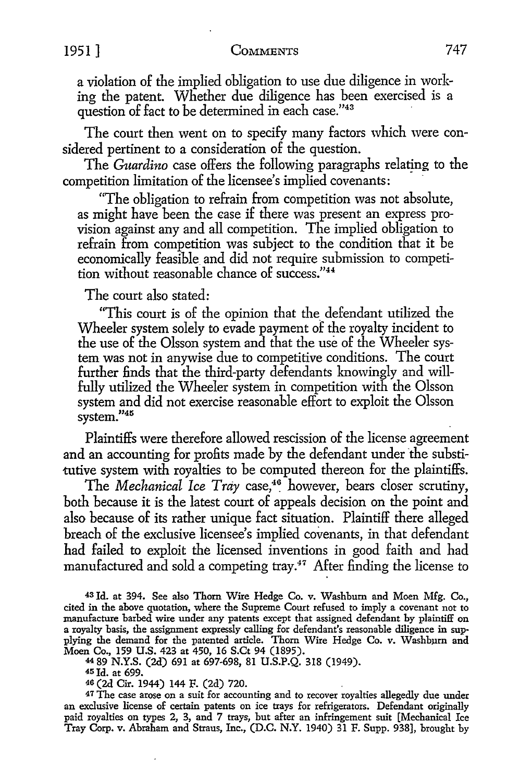#### 1951] COMMENTS 747

a violation of the implied obligation to use due diligence in working the patent. Whether due diligence has been exercised is a question of fact to be determined in each case."43

The court then went on to specify many factors which were considered pertinent to a consideration of the question.

The *Guardino* case offers the following paragraphs relating to the competition limitation of the licensee's implied covenants: ·

"The obligation to refrain from competition was not absolute, as might have been the case if there was present an express provision against any and all competition. The implied obligation to refrain from competition was subject to the condition that it be economically feasible and did not require submission to competition without reasonable chance of success."<sup>44</sup>

The court also stated:

"This court is of the opinion that the\_ defendant utilized the Wheeler system solely to evade payment of the royalty incident to the use of the Olsson system and that the use of the Wheeler system was not in anywise due to competitive conditions. The court further finds that the third-party defendants knowingly and willfully utilized the Wheeler system in competition with the Olsson system and did not exercise reasonable effort to exploit the Olsson system."<sup>45</sup>

Plaintiffs were therefore allowed rescission of the license agreement and an accounting for profits made by the defendant under the substitutive system with royalties to be computed thereon for the plaintiffs.

The *Mechanical* Ice Tray case,<sup>46</sup> however, bears closer scrutiny, both because it is the latest court of appeals decision on the point and also because of its rather unique fact situation. Plaintiff there alleged breach of the exclusive licensee's implied covenants, in that defendant had failed to exploit the licensed inventions in good faith and had manufactured and sold a competing tray.<sup>47</sup> After finding the license to

<sup>43</sup>Id. at 394. See also Thom Wire Hedge Co. v. Washburn and Moen Mfg. Co., cited in the above quotation, where the Supreme Court refused to imply a covenant not to manufacture barbed wire under any patents except that assigned defendant by plaintiff on a royalty basis, the assignment expressly calling for defendant's reasonable diligence in supplying the demand for the patented article. Thom Wire Hedge Co. v. Washbµm and Moen Co., 159 U.S. 423 at 450, 16 S.Ct 94 (1895).

44 89 N.Y.S. (2d) 691 at 697-698, 81 U.S.P.Q. 318 (1949).

<sup>45</sup>Id. at 699.

46 (2d Cir. 1944) 144 F. (2d) 720. .

47 The case arose on a suit for accounting and to recover royalties allegedly due under an exclusive license of certain patents on ice trays for refrigerators. Defendant originally paid royalties on types 2, 3, and 7 trays, but after an infringement suit [Mechanical Ice Tray Corp. v. Abraham and Straus, Inc., (D.C. N.Y. 1940) 31 F. Supp. 938], brought by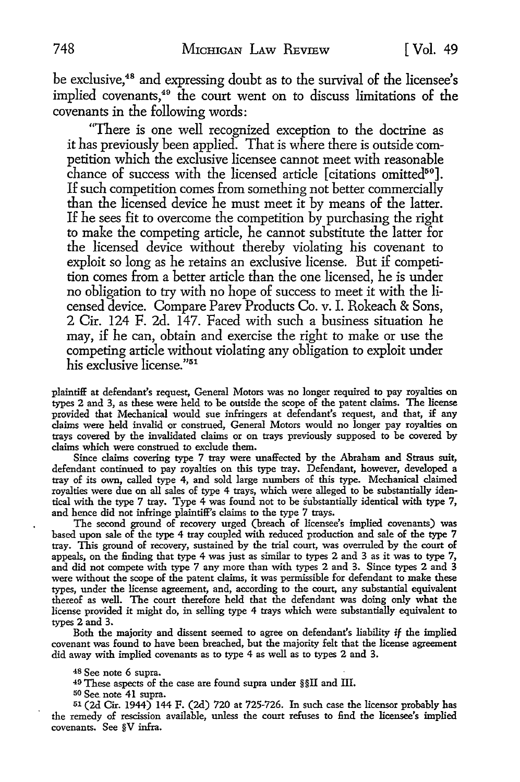be exclusive, 48 and expressing doubt as to the survival of the licensee's implied covenants,<sup>49</sup> the court went on to discuss limitations of the covenants in the following words:

"There is one well recognized exception to the doctrine as it has previously been applied. That is where there is outside competition which the exclusive licensee cannot meet with reasonable chance of success with the licensed article [citations omitted $50$ ]. If such competition comes from something not better commercially than the licensed device he must meet it by means of the latter. If he sees fit to overcome the competition by purchasing the right to make the competing article, he cannot substitute the latter for the licensed device without thereby violating his covenant to exploit so long as he retains an exclusive license. But if competition comes from a better article than the one licensed, he is under no obligation to try with no hope of success to meet it with the licensed device. Compare Parev Products Co. v. I. Rokeach & Sons, 2 Cir. 124 F. 2d. 147. Faced with such a business situation he may, if he can, obtain and exercise the right to make or use the competing article without violating any obligation to exploit under his exclusive license."51

plaintiff at defendant's request, General Motors was no longer required to pay royalties on types 2 and 3, as these were held to be outside the scope of the patent claims. The license provided that Mechanical would sue infringers at defendant's request, and that, if any claims were held invalid or construed, General Motors would no longer pay royalties on trays covered by the invalidated claims or on trays previously supposed to be covered **by**  claims which were construed to exclude them.

Since claims covering type 7 tray were unaffected by the Abraham and Straus suit, defendant continued to pay royalties on this type tray. Defendant, however, developed a tray of its own, called type 4, and sold large numbers of this type. Mechanical claimed royalties were due on all sales of type 4 trays, which were alleged to be substantially identical with the type 7 tray. Type 4 was found not to be substantially identical with type 7, and hence did not infringe plaintiff's claims to the type 7 trays.

The second ground of recovery urged (breach of licensee's implied covenants) was based upon sale of the type 4 tray coupled with reduced production and sale of the type 7 tray. This ground of recovery, sustained by the trial court, was overruled by the court of appeals, on the finding that type 4 was just as similar to types 2 and 3 as it was to type 7, and did not compete with type 7 any more than with types 2 and 3. Since types 2 and 3 were without the scope of the patent claims, it was permissible for defendant to make these types, under the license agreement, and, according to the court, any substantial equivalent thereof as well. The court therefore held that the defendant was doing only what the license provided it might do, in selling type 4 trays which were substantially equivalent to types 2 and 3.

Both the majority and dissent seemed to agree on defendant's liability if the implied covenant was found to have been breached, but the majority felt that the license agreement did away with implied covenants as to type 4 as well as to types 2 and 3.

48 See note 6 supra.

49 These aspects of the case are found supra under §§II and III.

50 See. note 41 supra.

51 (2d Cir. 1944) 144 F. (2d) 720 at 725-726. In such case the licensor probably has the remedy of rescission available, unless the court refuses to find the licensee's implied covenants. See §V infra.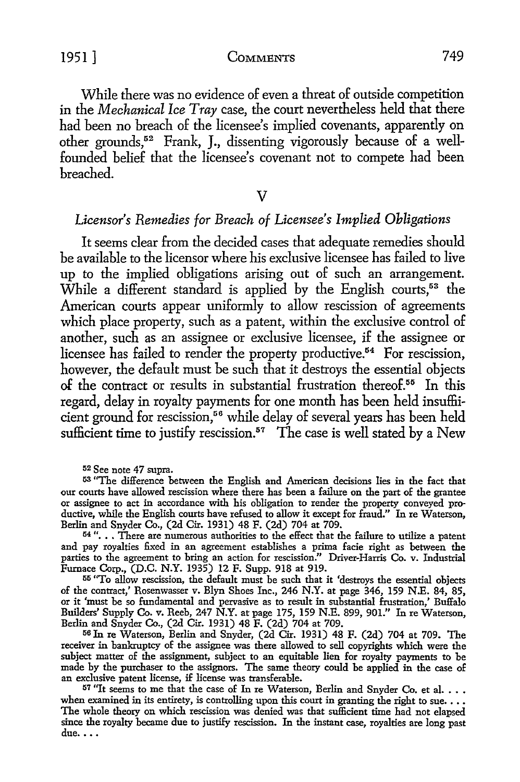#### 1951 ] **CoMMENTS** 749

While there was no evidence of even a threat of outside competition in the *Mechanical Ice Tray* case, the court nevertheless held that there had been no breach of the licensee's implied covenants, apparently on other grounds,52 Frank, J., dissenting vigorously because of a wellfounded belief that the licensee's covenant not to compete had been breached.

#### $\overline{\text{V}}$

## *Licensor's Remedies for Breach of Licensee's Implied Obligations*

It seems clear from the decided cases that adequate remedies should be available to the licensor where his exclusive licensee has failed to live up to the implied obligations arising out of such an arrangement. While a different standard is applied by the English courts,<sup>53</sup> the American courts appear uniformly to allow rescission of agreements which place property, such as a patent, within the exclusive control of another, such as an assignee or exclusive licensee, if the assignee or licensee has failed to render the property productive.<sup>54</sup> For rescission, however, the default must be such that it destroys the essential objects of the contract or results in substantial frustration thereof.55 In this regard, delay in royalty payments for one month has been held insuffiicient ground for rescission,<sup>56</sup> while delay of several years has been held sufficient time to justify rescission.<sup>57</sup> The case is well stated by a New

52 See note 47 supra.

<sup>63</sup>"The difference between the English and American decisions lies in the fact that our courts have allowed rescission where there has been a failure on the part of the grantee or assignee to act in accordance with his obligation to render the property conveyed productive, while the English courts have refused to allow it except for fraud." In re Waterson, Berlin and Snyder Co., (2d Cir. 1931) 48 F. (2d) 704 at 709.

<sup>64</sup> "... There are numerous authorities to the effect that the failure to utilize a patent and pay royalties fixed in an agreement establishes a prima facie right as between the parties to the agreement to bring an action for rescission." Driver-Harris Co. v. Industrial Furnace Corp., (D.C. **N.Y.** 1935) 12 F. Supp. 918 at 919.

55 "To allow rescission, the default must be such that it 'destroys the essential objects of the contract,' Rosenwasser v. Blyn Shoes Inc., 246 N.Y. at page 346, 159 N.E. 84, 85, or it 'must be so fundamental and pervasive as to result in substantial frustration,' Buffalo Builders' Supply Co. v. Reeb, 247 N.Y. at page 175, 159 N.E. 899, 901." In re Waterson,

<sup>56</sup> In re Waterson, Berlin and Snyder, (2d Cir. 1931) 48 F. (2d) 704 at 709. The receiver in bankruptcy of the assignee was there allowed to sell copyrights which were the subject matter of the assignment, subject to an equitable lien for royalty payments to be made by the purchaser to the assignors. The same theory could be applied in the case of an exclusive patent license, if license was transferable.

57 "It seems to me that the case of In re Waterson, Berlin and Snyder Co. et al.  $\ldots$ when examined in its entirety, is controlling upon this court in granting the right to sue.  $\dots$ The whole theory on which rescission was denied was that sufficient time had not elapsed since the royalty became due to justify rescission. In the instant case, royalties are long past due. . . .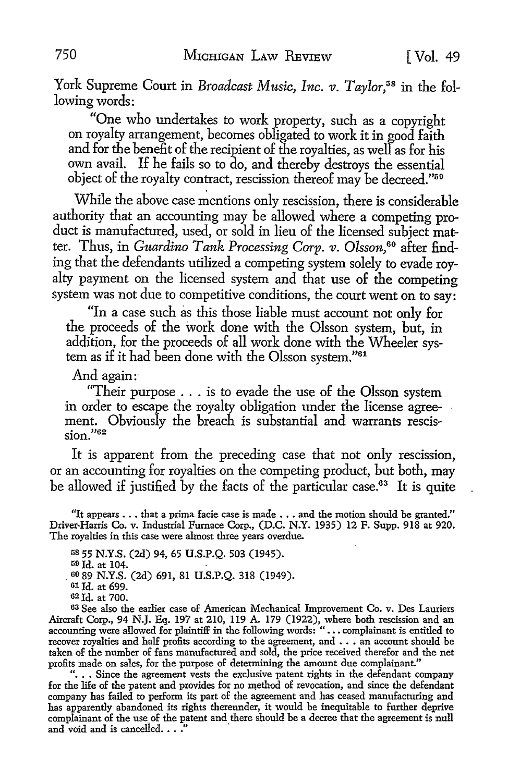York Supreme Court in *Broadcast Music, Inc. v. Taylor*,<sup>58</sup> in the following words:

"One who undertakes to work property, such as a copyright on royalty arrangement, becomes obligated to work it in good faith and for the benefit of the recipient of the royalties, as well as for his own avail. If he fails so to do, and thereby destroys the essential object of the royalty contract, rescission thereof may be decreed."59

While the above case mentions only rescission, there is considerable authority that an accounting may be allowed where a competing product is manufactured, used, or sold in lieu of the licensed subject matter. Thus, in *Guardino Tank Processing Corp. v. Olsson*,<sup>60</sup> after finding that the defendants utilized a competing system solely to evade royalty payment on the licensed system and that use of the competing system was not due to competitive conditions, the court went on to say:

"In a case such as this those liable must account not only for the proceeds of the work done with the Olsson system, but, in addition, for the proceeds of all work done with the Wheeler system as if it had been done with the Olsson system."61

And again:

"Their purpose ... is to evade the use of the Olsson system in order to escape the royalty obligation under the license agreement. Obviously the breach is substantial and warrants rescission."62

It is apparent from the preceding case that not only rescission, or an accounting for royalties on the competing product, but both, may be allowed if justified by the facts of the particular case.<sup>63</sup> It is quite

"It appears  $\ldots$  that a prima facie case is made  $\ldots$  and the motion should be granted." Driver-Harris Co. v. Industrial Furnace Corp., (D.C. N.Y. 1935) 12 F. Supp. 918 at 920. The royalties in this case were almost three years overdue.

58 55 N.Y.S. (2d) 94, 65 U.S.P.Q. 503 (1945).

<sup>59</sup> Id. at 104.

. 60 89 N.Y.S. (2d) 691, 81 U.S.P.Q. 318 (1949).

61 Id. at 699.

62 Id. at 700.

68 See also the earlier case of American Mechanical Improvement Co. v. Des Lauriers Aircraft Corp., 94 N.J. Eq. 197 at 210, 119 A. 179 (1922), where both rescission and an accounting were allowed for plaintiff in the following words: "... complainant is entitled to recover royalties and half profits according to the agreement, and . . • an account should be taken of the number of fans manufactured and sold, the price received therefor and the net profits made on sales, for the purpose of determining the amount due complainant."

"... Since the agreement vests the exclusive patent rights in the defendant company for the life of the patent and provides for no method of revocation, and since the defendant company has failed to perform its part of the agreement and has ceased manufacturing and has apparently abandoned its rights thereunder, it would be inequitable to further deprive complainant of the use of the patent and there should be a decree that the agreement is null and void and is cancelled. . . ."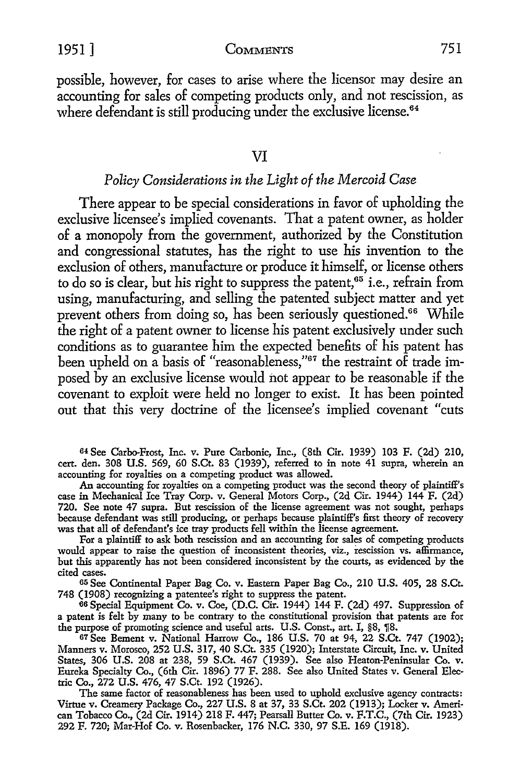1951 ] COMMENTS 751

possible, however, for cases to arise where the licensor may desire an accounting for sales of competing products only, and not rescission, as where defendant is still producing under the exclusive license.<sup>64</sup>

#### VI

## *Policy Considerations in the Light of the Mercoid Case*

There appear to be special considerations in favor of upholding the exclusive licensee's implied covenants. That a patent owner, as holder of a monopoly from the government, authorized by the Constitution and congressional statutes, has the right to use his invention to the exclusion of others, manufacture or produce it himself, or license others to do so is clear, but his right to suppress the patent, $65$  i.e., refrain from using, manufacturing, and selling the patented subject matter and yet prevent others from doing so, has been seriously questioned.<sup>66</sup> While the right of a patent owner to license his patent exclusively under such conditions as to guarantee him the expected benefits of his patent has been upheld on a basis of "reasonableness,"67 the restraint of trade imposed by an exclusive license would not appear to be reasonable if the covenant to exploit were held no longer to exist. It has been pointed out that this very doctrine of the licensee's implied covenant "cuts

64 See Carbo-Frost, Inc. v. Pure Carbonic, Inc., (8th Cir. 1939) 103 F. (2d) 210, cert. den. 308 U.S. 569, 60 S.Ct. 83 (1939), referred to in note 41 supra, wherein an accounting for royalties on a competing product was allowed.

An accounting for royalties on a competing product was the second theory of plaintiff's case in Mechanical Ice Tray Corp. v. General Motors Corp., (2d Cir. 1944) 144 F. (2d) 720. See note 47 supra. But rescission of the license agreement was not sought, perhaps because defendant was still producing, or perhaps because plaintiff's first theory of recovery was that all of defendant's ice tray products fell within the license agreement.

For a plaintiff to ask both rescission and an accounting for sales of competing products would appear to raise the question of inconsistent theories, viz., rescission vs. affirmance, but this apparently has not been considered inconsistent by the courts, as evidenced by the cited cases.

65 See Continental Paper Bag Co. v. Eastern Paper Bag Co., 210 U.S. 405, 28 S.Ct. 748 (1908) recognizing a patentee's right to suppress the patent.

66 Special Equipment Co. v. Coe, (D.C. Cir. 1944) 144 F. (2d) 497. Suppression of a patent is felt by many to be contrary to the constitutional provision that patents are for the purpose of promoting science and useful arts. U.S. Const., art. I, §8, ¶8.

67 See Bement v. National Harrow Co., 186 U.S. 70 at 94, 22 S.Ct. 747 (1902); Manners v. Morosco, 252 U.S. 317, 40 S.Ct. 335 (1920); Interstate Circuit, Inc. v. United States, 306 U.S. 208 at 238, 59 S.Ct. 467 (1939). See also Heaton-Peninsular Co. v. Eureka Specialty Co., (6th Cir. 1896) 77 F. 288. See also United States v. General Electric Co., 272 U.S. 476, 47 S.Ct. 192 (1926).

The same factor of reasonableness has been used to uphold exclusive agency contracts: Virtue v. Creamery Package Co., 227 U.S. 8 at 37, 33 S.Ct. 202 (1913); Locker v. Ameri- can Tobacco Co., (2d Cir. 1914) 218 F. 447; Pearsall Butter Co. v. F.T.C., (7th Cir. 1923) 292 F. *720;* Mar-Hof Co. v. Rosenbacker, 176 N.C. 330, 97 S.E. 169 (1918).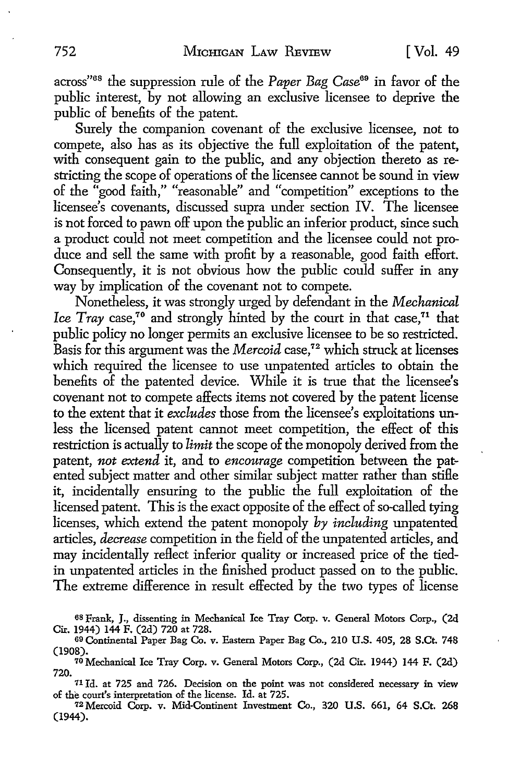across"<sup>68</sup> the suppression rule of the *Paper Bag Case*<sup>69</sup> in favor of the public interest, by not allowing an exclusive licensee to deprive the public of benefits of the patent.

Surely the companion covenant of the exclusive licensee, not to compete, also has as its objective the full exploitation of the patent, with consequent gain to the public, and any objection thereto as restricting the scope of operations of the licensee cannot be sound in view of the ''good faith," "reasonable" and "competition" exceptions to the licensee's covenants, discussed supra under section IV. The licensee is not forced to pawn off upon the public an inferior product, since such a product could not meet competition and the licensee could not produce and sell the same with profit by a reasonable, good faith effort. Consequently, it is not obvious how the public could suffer in any way by implication of the covenant not to compete.

Nonetheless, it was strongly urged by defendant in the *Mechanical Ice Tray case*,<sup>70</sup> and strongly hinted by the court in that case,<sup>71</sup> that public policy no longer permits an exclusive licensee to be so restricted. Basis for this argument was the *Mercoid* case,72 which struck at licenses which required the licensee to use unpatented articles to obtain the benefits of the patented device. While it is true that the licensee's covenant not to compete affects items not covered by the patent license to the extent that it *excludes* those from the licensee's exploitations unless the licensed patent cannot meet competition, the effect of this restriction is actually to *limit* the scope of the monopoly derived from the patent, *not extend* it, and to *encourage* competition between the patented subject matter and other similar subject matter rather than stifle it, incidentally ensuring to the public the full exploitation of the licensed patent. This is the exact opposite of the effect of so-called tying licenses, which extend the patent monopoly *by including* unpatented articles, *decrease* competition in the field of the unpatented articles, and may incidentally reflect inferior quality or increased price of the tiedin unpatented articles in the finished product passed on to the public. The extreme difference in result effected by the two types of license

<sup>68</sup>Frank, J., dissenting in Mechanical Ice Tray Corp. v. General Motors Corp., (2d Cir. 1944) 144 F. (2d) 720 at 728.

<sup>69</sup> Continental Paper Bag Co. v. Eastern Paper Bag Co., 210 U.S. 405, 28 S.Ct. 748 (1908).

<sup>70</sup> Mechanical Ice Tray Corp. v. General Motors Corp., (2d Cir. 1944) 144 F. (2d) 720.

<sup>71</sup>Id. at 725 and 726. Decision on the point was not considered necessary in view of the court's interpretation of the license. Id. at 725.

<sup>72</sup> Mercoid Corp. v. Mid-Continent Investment Co., 320 U.S. 661, 64 S.Ct. 268 (1944).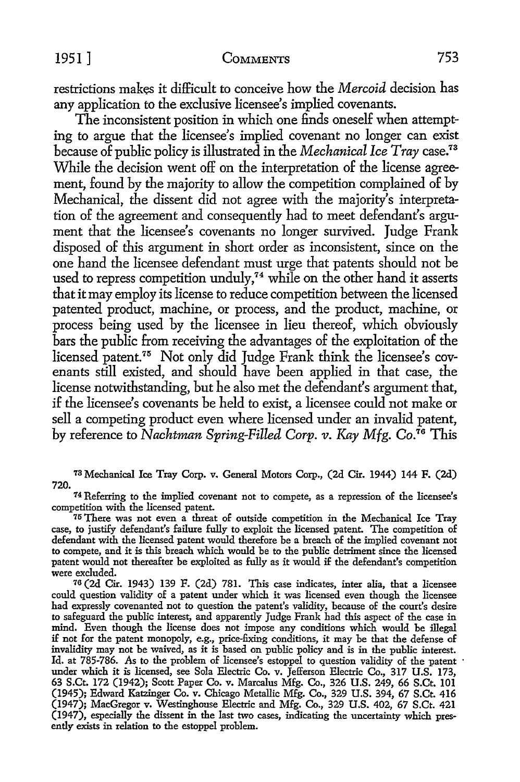restrictions makes it difficult to conceive how the *Mercoid* decision has any application to the exclusive licensee's implied covenants.

The inconsistent position in which one finds oneself when attempting to argue that the licensee's implied covenant no longer can exist because of public policy is illustrated in the *Mechanical Ice Tray* case.<sup>73</sup> While the decision went off on the interpretation of the license agreement, found by the majority to allow the competition complained of by Mechanical, the dissent did not agree with the majority's interpretation of the agreement and consequently had to meet defendant's argument that the licensee's covenants no longer survived. Judge Frank disposed of this argument in short order as inconsistent, since on the one hand the licensee defendant must urge that patents should not be used to repress competition unduly,<sup>74</sup> while on the other hand it asserts that it may employ its license to reduce competition between the licensed patented product, machine, or process, and the product, machine, or process being used by the licensee in lieu thereof, which obviously bars the public from receiving the advantages of the exploitation of the licensed patent.75 Not only did Judge Frank think the licensee's covenants still existed, and should have been applied in that case, the license notwithstanding, but he also met the defendant's argument that, if the licensee's covenants be held to exist, a licensee could not make or sell a competing product even where licensed under an invalid patent, by reference to *Nachtman Spring-Filled Corp. v. Kay Mfg.* Co.76 This

<sup>73</sup>Mechanical Ice Tray Corp. v. General Motors Corp., (2d Cir. 1944) 144 F. (2d) 720.

74 Referring to the implied covenant not to compete, as a repression of the licensee's competition with the licensed patent.

75 There was not even a threat of outside competition in the Mechanical Ice Tray case, to justify defendant's failure fully to exploit the licensed patent. The competition of defendant with the licensed patent would therefore be a breach of the implied covenant not to compete, and it is this breach which would be to the public detriment since the licensed patent would not thereafter be exploited as fully as it would if the defendant's competition were excluded.

76 (2d Cir. 1943) 139 F. (2d) 781. This case indicates, inter alia, that a licensee could question validity of a patent under which it was licensed even though the licensee had expressly covenanted not to question the patent's validity, because of the court's desire to safeguard the public interest, and apparently Judge Frank had this aspect of the case in mind. Even though the license does not impose any conditions which would be illegal if not for the patent monopoly, e.g., price-fixing conditions, it may be that the defense of invalidity may not be waived, as it is based on public policy and is in the public interest. Id. at 785-786. *As* to the problem of licensee's estoppel to question validity of the patent · under which it is licensed, see Sola Electric Co. v. Jefferson Electric Co., 317 U.S. 173, 63 S.Ct. 172 (1942); Scott Paper Co. v. Marcalus Mfg. Co., 326 U.S. 249, 66 S.Ct. 101 (1945); Edward Katzinger Co. v. Chicago Metallic Mfg. Co., 329 U.S. 394, 67 S.Ct. 416 (1947); MacGregor v. Westinghouse Electric and Mfg. Co., 329 U.S. 402, 67 S.Ct. 421 (1947), especially the dissent in the last two cases, indicating the uncertainty which presently exists in relation to the estoppel problem.